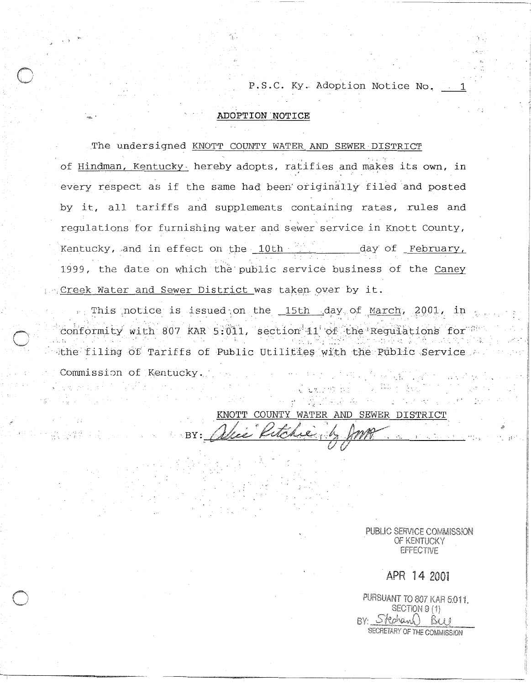P.S.C. Ky. Adoption Notice No.

., I.

**i** ..

#### **.\*A ADOPTION NOTICE**

The undersigned KNOTT COUNTY WATER.AND SEWER DISTRICT of Hindman, Kentucky hereby adopts, ratifies and makes its own, in every respect as if the same had been' originally filed and posted by it, all tariffs and supplements containing rates, rules and regulations for furnishing water and sewer service in Knott County, Kentucky, and in effect on the 10th day of February, 1999, the date on which the public service business of the Caney prepreek Water and Sewer District was taken over by it.

1<sup>2</sup>This notice is issued on the 15th day of March, 2001, in conformity with 807 KAR 5:011, section 11 of the Regulations for whe filing of Tariffs of Public Utilities with the Public Service Commissim of Kentucky.

KNOTT COUNTY WATER AND SEWER DISTRICT  $BY:$  . There kilometry  $\mathcal{W}\mathcal{W}\mathcal{W}$ 

PUBLIC SERVICE COMMISSION OF KENTUCKY **EFFECTIVE** 

APR 14 2001

PURSUANT TO 807 KAR 5:011. SECTION 9 (1) BY: Stechann Bas SECRETARY OF THE COMMISSION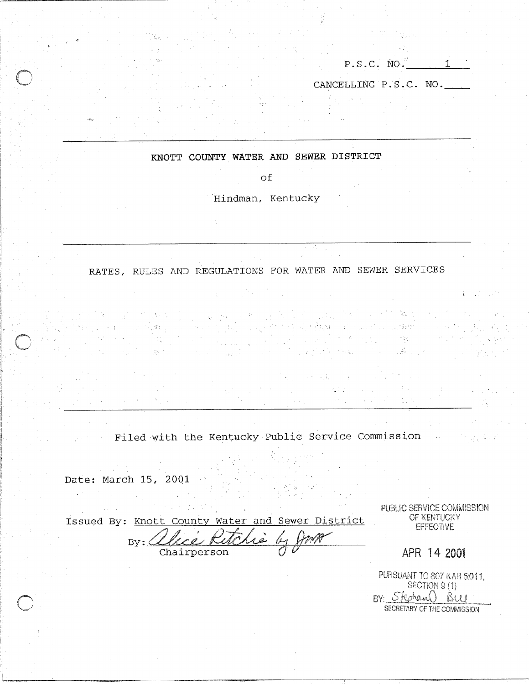| <b>P</b> . D . U . | NO-<br>- - |  |
|--------------------|------------|--|
|                    |            |  |

in Barto

 $\pm 2\frac{1}{9}$ 

CANCELLING P,S.C. NO.

#### KNOTT COUNTY WATER AND SEWER DISTRICT

of

Hindman, Kentucky

## RATES, RULES AND REGULATIONS FOR WATER AND SEWER SERVICES

지수들의

Filed with the Kentucky Public Service Commission

Date: March 15, 2001

 $\sim$ 

化焊钉

Issued By: Knott County Water and Sewer District  $By: \angle\angle$ 

Chairperson

PUBLIC SERVICE COMMISSION OF KENTUCKY **EFFECTIVE** 

APR 14 2001

PURSUANT TO 807 KAR 5:011. SECTION 9(1) BY: Stephand BW SECRETARY OF THE COMMISSION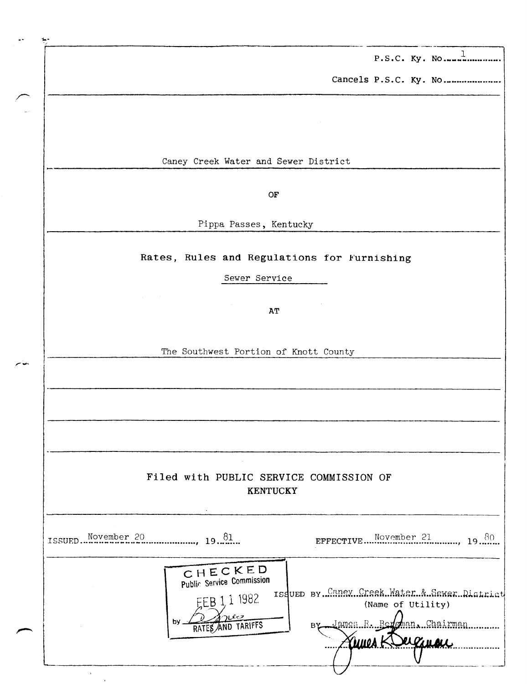P.S.C. Ky. No.,,..l,.............

Cancels P.S.C. Ky. No.....................

.- -- \_.--

Caney Creek Water and Sewer District

OF

Pippa Passes, Kentucky

## Rates, Rules and Regulations for Furnishing

Sewer Service

AT

The Southwest Portion of Knott County

# Filed with PUBLIC SERVICE COMMISSION OF KENTUCKY

| November 20<br>$19^{81}$<br>ISSUED                                                           | EFFECTIVE Movember 21<br>-80                                                                                                |
|----------------------------------------------------------------------------------------------|-----------------------------------------------------------------------------------------------------------------------------|
| C H E C K E D<br>Public Service Commission<br>1 1 1 98 2<br>صلاته<br>bv<br>RATES AND TARIFFS | Issued By. Caney Creek Water & Sawar District<br>(Name of Utility)<br>By James R. Bergman, Chairman<br><i><b>CLIBUL</b></i> |

 $\ddot{\phantom{a}}$  $\gamma_{\rm t}$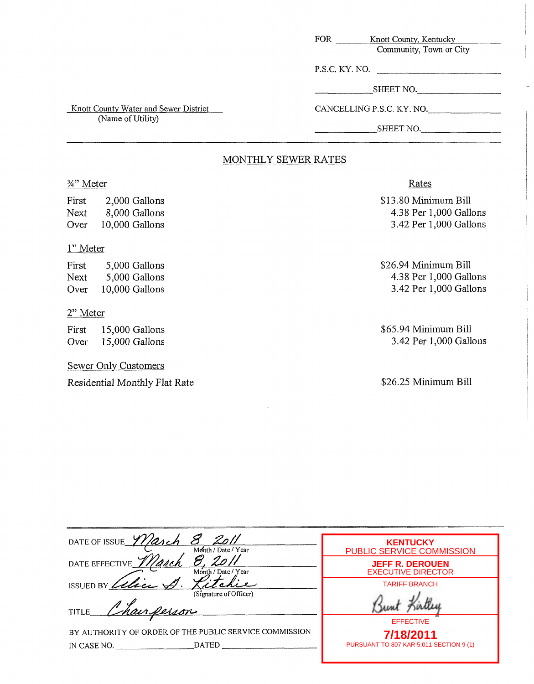| FOR            | Knott County, Kentucky    |
|----------------|---------------------------|
|                | Community, Town or City   |
| P.S.C. KY. NO. |                           |
|                | SHEET NO.                 |
|                | CANCELLING P.S.C. KY. NO. |

**Knott County Water and Sewer District** 

(Name of Utility)

### SHEET NO.

## MONTHLY SEWER RATES

## %'' Meter

First 2,000 Gallons Next 8,000 Gallons Over 10,000 Gallons

## 1" Meter

First 5,000 Gallons Next 5,000 Gallons Over 10,000 Gallons

## 2" Meter

First 15,000 Gallons Over 15,000 Gallons

## Sewer Only Customers

Residential Monthly Flat Rate

## Rates

\$13.80 Minimum Bill 4.38 Per 1,000 Gallons 3.42 Per 1,000 Gallons

\$26.94 Minimum Bill 4.38 Per 1,000 Gallons 3.42 Per 1,000 Gallons

\$65.94 Minimum Bill 3.42 Per 1,000 Gallons

\$26.25 Minimum Bill

| DATE OF ISSUE Warch<br>Month / Date / Year                                            | <b>KENTUCKY</b><br><b>PUBLIC SERVICE COMMISSION</b>  |
|---------------------------------------------------------------------------------------|------------------------------------------------------|
| DATE EFFECTIVE <i>Illarch</i><br>Month / Date / Year                                  | <b>JEFF R. DEROUEN</b><br><b>EXECUTIVE DIRECTOR</b>  |
| ISSUED BY<br>(Signature of Officer)                                                   | <b>TARIFF BRANCH</b>                                 |
| Chairperson<br>TITLE_                                                                 | <b>EFFECTIVE</b>                                     |
| BY AUTHORITY OF ORDER OF THE PUBLIC SERVICE COMMISSION<br><b>DATED</b><br>IN CASE NO. | 7/18/2011<br>PURSUANT TO 807 KAR 5:011 SECTION 9 (1) |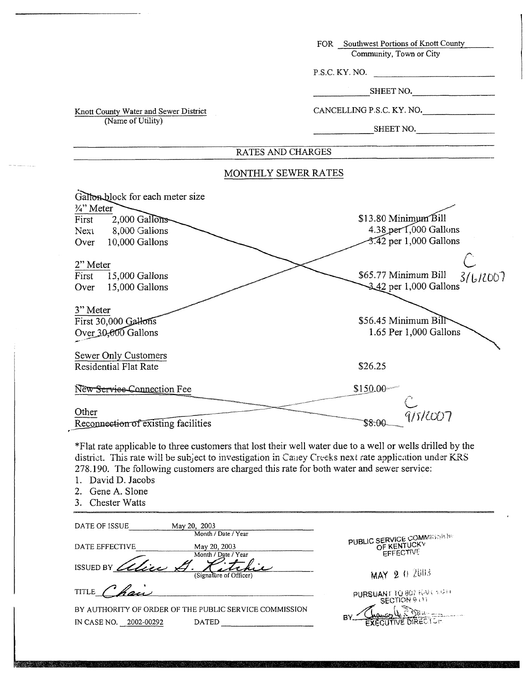|                                                                                                                                                                                                                                                                                                                                                                                | FOR Southwest Portions of Knott County                              |
|--------------------------------------------------------------------------------------------------------------------------------------------------------------------------------------------------------------------------------------------------------------------------------------------------------------------------------------------------------------------------------|---------------------------------------------------------------------|
|                                                                                                                                                                                                                                                                                                                                                                                | Community, Town or City                                             |
|                                                                                                                                                                                                                                                                                                                                                                                | P.S.C. KY. NO.                                                      |
|                                                                                                                                                                                                                                                                                                                                                                                | SHEET NO.                                                           |
| Knott County Water and Sewer District                                                                                                                                                                                                                                                                                                                                          | CANCELLING P.S.C. KY. NO.                                           |
| (Name of Utility)                                                                                                                                                                                                                                                                                                                                                              | SHEET NO.                                                           |
| RATES AND CHARGES                                                                                                                                                                                                                                                                                                                                                              |                                                                     |
| MONTHLY SEWER RATES                                                                                                                                                                                                                                                                                                                                                            |                                                                     |
| Gallon block for each meter size                                                                                                                                                                                                                                                                                                                                               |                                                                     |
| 3/4" Meter<br>$2,000$ Gallons<br>First                                                                                                                                                                                                                                                                                                                                         | \$13.80 Minimum Bill                                                |
| 8,000 Galions<br>Next                                                                                                                                                                                                                                                                                                                                                          | 4.38 per 1,000 Gallons                                              |
| 10,000 Gallons<br>Over                                                                                                                                                                                                                                                                                                                                                         | 3.42 per 1,000 Gallons                                              |
|                                                                                                                                                                                                                                                                                                                                                                                |                                                                     |
| 2" Meter                                                                                                                                                                                                                                                                                                                                                                       |                                                                     |
| 15,000 Gallons<br>First                                                                                                                                                                                                                                                                                                                                                        | \$65.77 Minimum Bill<br>31612007<br>3.42 per 1,000 Gallons          |
| 15,000 Gallons<br>Over                                                                                                                                                                                                                                                                                                                                                         |                                                                     |
| 3" Meter                                                                                                                                                                                                                                                                                                                                                                       |                                                                     |
| First 30,000 Gallons                                                                                                                                                                                                                                                                                                                                                           | \$56.45 Minimum Bill                                                |
| Over 30,000 Gallons                                                                                                                                                                                                                                                                                                                                                            | 1.65 Per 1,000 Gallons                                              |
|                                                                                                                                                                                                                                                                                                                                                                                |                                                                     |
| Sewer Only Customers<br>Residential Flat Rate                                                                                                                                                                                                                                                                                                                                  | \$26.25                                                             |
|                                                                                                                                                                                                                                                                                                                                                                                |                                                                     |
| New Service-Connection Fee                                                                                                                                                                                                                                                                                                                                                     | \$150.00-                                                           |
|                                                                                                                                                                                                                                                                                                                                                                                |                                                                     |
| Other                                                                                                                                                                                                                                                                                                                                                                          | 9/5/2007                                                            |
| Reconnection of existing facilities                                                                                                                                                                                                                                                                                                                                            | \$8.00                                                              |
| *Flat rate applicable to three customers that lost their well water due to a well or wells drilled by the<br>district. This rate will be subject to investigation in Caney Creeks next rate application under KRS<br>278.190. The following customers are charged this rate for both water and sewer service:<br>David D. Jacobs<br>1.<br>2. Gene A. Slone<br>3. Chester Watts |                                                                     |
| DATE OF ISSUE<br>May 20, 2003<br>Month / Date / Year                                                                                                                                                                                                                                                                                                                           |                                                                     |
| DATE EFFECTIVE<br>May 20, 2003<br>Month / Date / Year                                                                                                                                                                                                                                                                                                                          | <b>PUBLIC SERVICE COMMISSION</b><br>OF KENTUCKY<br><b>EFFECTIVE</b> |
| ISSUED BY alice                                                                                                                                                                                                                                                                                                                                                                | MAY 2 0 2003                                                        |
| <b>TITLE</b>                                                                                                                                                                                                                                                                                                                                                                   | PURSUANT TO 807 KARL 1911                                           |
| BY AUTHORITY OF ORDER OF THE PUBLIC SERVICE COMMISSION                                                                                                                                                                                                                                                                                                                         |                                                                     |
| DATED PRESERVE THE PRESERVE THE RESERVE THAT AND RESERVE THE RESERVE THAT AND RESERVE THE RESERVE THAT AND RESERVE THE RESERVE THAT AND RESERVE THE RESERVE THAT AND RESERVE THE RESERVE THAT AND RESPONDING THE RESPONDING OF<br>IN CASE NO. 2002-00292                                                                                                                       | U E BRANCHE                                                         |
|                                                                                                                                                                                                                                                                                                                                                                                |                                                                     |

APA KASONAN BILA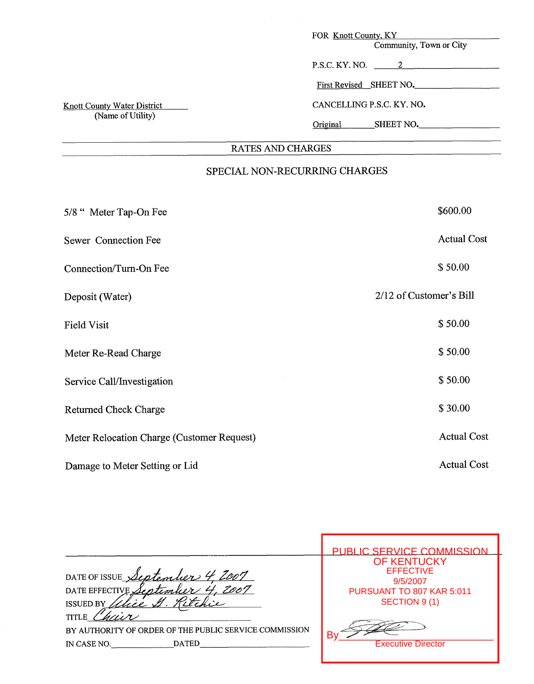| FOR Knott County, KY                  |
|---------------------------------------|
| $Commonity$ Town or $C_{\text{triv}}$ |

| Community, Town or City |  |  |
|-------------------------|--|--|
|-------------------------|--|--|

| P.S.C. KY. NO. |  |
|----------------|--|
|                |  |

| First Revised SHEET NO. |  |  |  |
|-------------------------|--|--|--|
|                         |  |  |  |

CANCELLING P.S.C. KY. NO.

Original SHEET NO.

# RATES **AND** CHARGES

# SPECIAL NON-RECURRING CHARGES

| 5/8 "Meter Tap-On Fee                      | \$600.00                |
|--------------------------------------------|-------------------------|
| Sewer Connection Fee                       | <b>Actual Cost</b>      |
| Connection/Turn-On Fee                     | \$50.00                 |
| Deposit (Water)                            | 2/12 of Customer's Bill |
| <b>Field Visit</b>                         | \$50.00                 |
| Meter Re-Read Charge                       | \$50.00                 |
| Service Call/Investigation                 | \$50.00                 |
| <b>Returned Check Charge</b>               | \$30.00                 |
| Meter Relocation Charge (Customer Request) | <b>Actual Cost</b>      |
| Damage to Meter Setting or Lid             | <b>Actual Cost</b>      |

|                                                                                                | PUBLIC SERVICE COMMISSION                                                                        |
|------------------------------------------------------------------------------------------------|--------------------------------------------------------------------------------------------------|
| DATE OF ISSUE September 4<br>DATE EFFECTIVE September<br><b>ISSUED BY</b>                      | <b>OF KENTUCKY</b><br><b>EFFECTIVE</b><br>9/5/2007<br>PURSUANT TO 807 KAR 5:011<br>SECTION 9 (1) |
| TITLE<br>BY AUTHORITY OF ORDER OF THE PUBLIC SERVICE COMMISSION<br><b>DATED</b><br>IN CASE NO. | <b>Executive Director</b>                                                                        |

г

**Knott County Water District** (Name of Utility)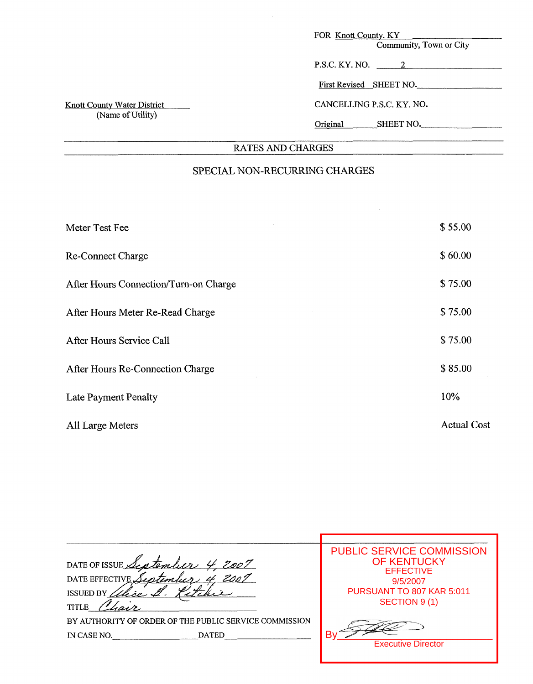**RATES AND** CHARGES

# SPECIAL NON-RECURRING CHARGES

| Meter Test Fee                        | \$55.00            |
|---------------------------------------|--------------------|
| <b>Re-Connect Charge</b>              | \$60.00            |
| After Hours Connection/Turn-on Charge | \$75.00            |
| After Hours Meter Re-Read Charge      | \$75.00            |
| After Hours Service Call              | \$75.00            |
| After Hours Re-Connection Charge      | \$85.00            |
| Late Payment Penalty                  | 10%                |
| All Large Meters                      | <b>Actual Cost</b> |

| DATE OF ISSUE September 4<br>2007<br>DATE EFFECTIVE September<br>ISSUED BY<br><b>TITLE</b> | <b>PUBLIC SERVICE COMMISSION</b><br><b>OF KENTUCKY</b><br><b>EFFECTIVE</b><br>9/5/2007<br>PURSUANT TO 807 KAR 5:011<br>SECTION 9 (1) |
|--------------------------------------------------------------------------------------------|--------------------------------------------------------------------------------------------------------------------------------------|
| BY AUTHORITY OF ORDER OF THE PUBLIC SERVICE COMMISSION<br><b>DATED</b><br>IN CASE NO.      | <b>Executive Director</b>                                                                                                            |

Т

Knott County Water District (Name of Utility)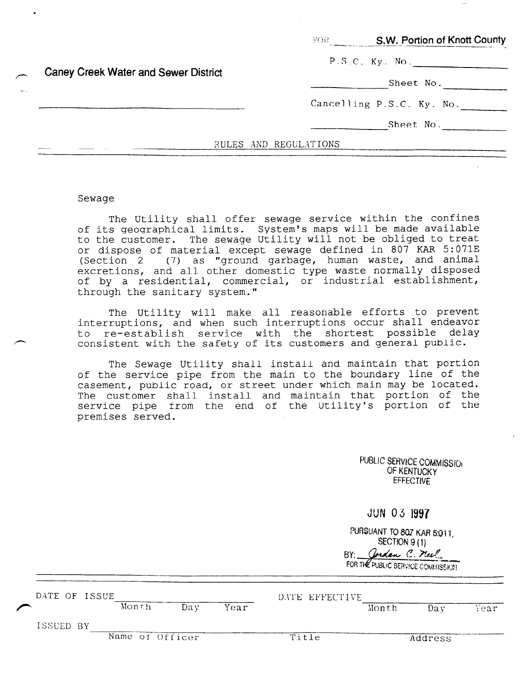|  |                                      |                | S.W. Portion of Knott County<br>-FOR - |
|--|--------------------------------------|----------------|----------------------------------------|
|  |                                      | P.S.C. Ky. No. |                                        |
|  | Caney Creek Water and Sewer District |                | Sheet No.                              |
|  |                                      |                | Cancelling P.S.C. Ky. No.              |
|  |                                      |                | Sheet No.                              |
|  |                                      |                | RULES AND REGULATIONS                  |

#### Sewage

The Utility shall offer sewage service within the confines of its geographical limits. System's maps will be made available to the customer. The sewage Utility will not be obliged to treat or dispose of material except sewage defined in 807 KAR 5:071E (Section 2 (7) as "ground garbage, human waste, and animal excretions, and all other domestic type waste normally disposed of by a residential, commercial, or industrial establishment, through the sanitary system."

The Utility will make all reasonable efforts to prevent interruptions, and when such interruptions occur shall endeavor to re-establish service with the shortest possible delay consistent with the safety of its customers and general publi

The Sewage Utility shall install and maintain that portion of the service pipe from the main to the boundary line of the casement, public road, or street under which main may be located. The customer shall install and maintain that portion of the service pipe from the end of the Utility's portion of the premises served.

| PUBLIC SERVICE COMMISSION |
|---------------------------|
| OF KENTUCKY               |
| <b>EFFECTIVE</b>          |

|  |  | JUN 03 1997 |
|--|--|-------------|
|--|--|-------------|

PURSUANT TO 807 KAR 5:011, SECTION 9(1) BY: Corden C. neel FOR THE PUBLIC SERVICE COMMISSION

| DATE OF ISSUE |                 |      |      | DATE EFFECTIVE |       |         |      |
|---------------|-----------------|------|------|----------------|-------|---------|------|
|               | Month           | Da v | Year |                | Month | Dav     | Year |
| ISSUED BY     |                 |      |      |                |       |         |      |
|               | Name of Officer |      |      | Title          |       | Address |      |